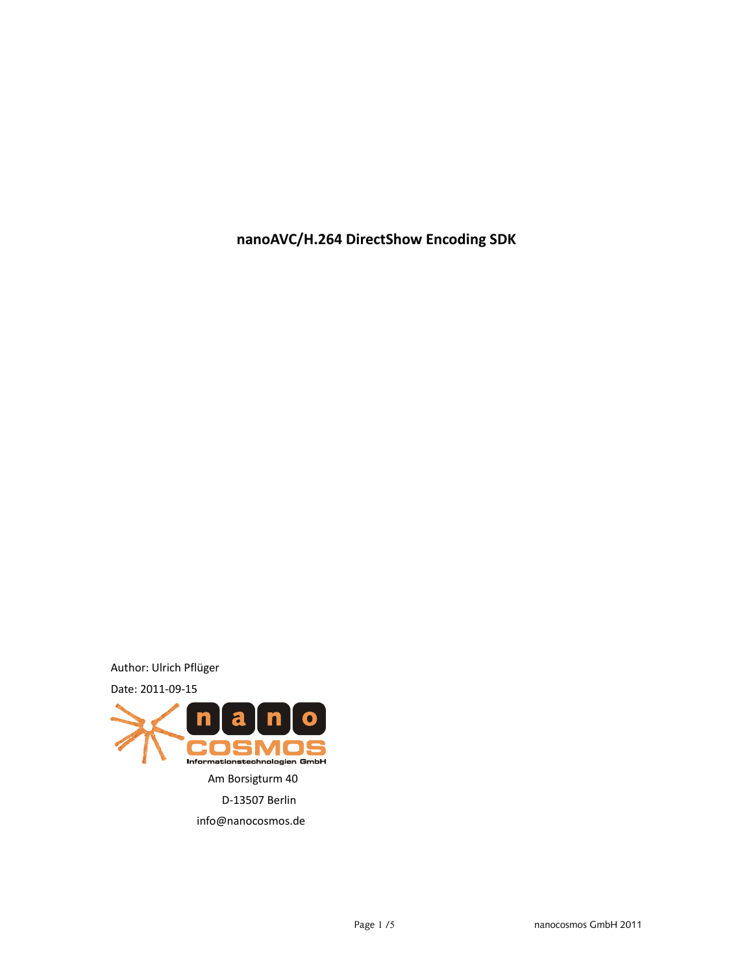**nanoAVC/H.264 DirectShow Encoding SDK**

Author: Ulrich Pflüger





info@nanocosmos.de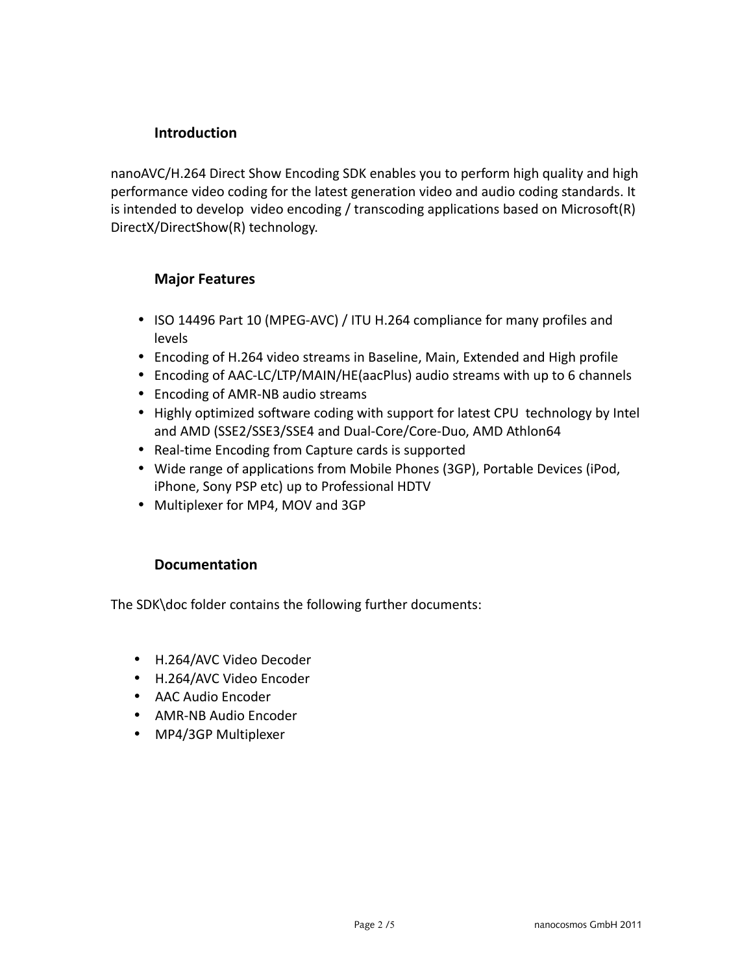### **Introduction**

nanoAVC/H.264 Direct Show Encoding SDK enables you to perform high quality and high performance video coding for the latest generation video and audio coding standards. It is intended to develop video encoding / transcoding applications based on Microsoft(R) DirectX/DirectShow(R) technology.

## **Major Features**

- ISO 14496 Part 10 (MPEG-AVC) / ITU H.264 compliance for many profiles and levels
- Encoding of H.264 video streams in Baseline, Main, Extended and High profile
- Encoding of AAC-LC/LTP/MAIN/HE(aacPlus) audio streams with up to 6 channels
- Encoding of AMR-NB audio streams
- Highly optimized software coding with support for latest CPU technology by Intel and AMD (SSE2/SSE3/SSE4 and Dual-Core/Core-Duo, AMD Athlon64
- Real-time Encoding from Capture cards is supported
- Wide range of applications from Mobile Phones (3GP), Portable Devices (iPod, iPhone, Sony PSP etc) up to Professional HDTV
- Multiplexer for MP4, MOV and 3GP

### **Documentation**

The SDK\doc folder contains the following further documents:

- H.264/AVC Video Decoder
- H.264/AVC Video Encoder
- AAC Audio Encoder
- AMR-NB Audio Encoder
- MP4/3GP Multiplexer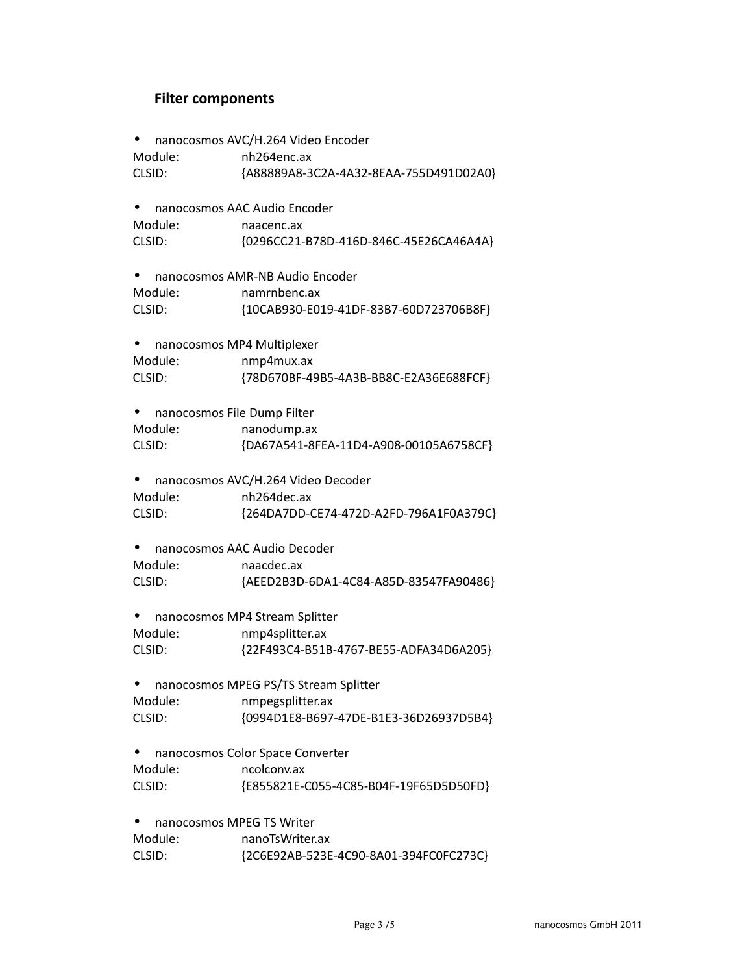# **Filter components**

|                                 | nanocosmos AVC/H.264 Video Encoder     |
|---------------------------------|----------------------------------------|
| Module:                         | nh264enc.ax                            |
| CLSID:                          | {A88889A8-3C2A-4A32-8EAA-755D491D02A0} |
|                                 | nanocosmos AAC Audio Encoder           |
| Module:                         | naacenc.ax                             |
| CLSID:                          | {0296CC21-B78D-416D-846C-45E26CA46A4A} |
| nanocosmos AMR-NB Audio Encoder |                                        |
| Module:                         | namrnbenc.ax                           |
| CLSID:                          | {10CAB930-E019-41DF-83B7-60D723706B8F} |
|                                 | nanocosmos MP4 Multiplexer             |
| Module:                         | nmp4mux.ax                             |
| CLSID:                          | {78D670BF-49B5-4A3B-BB8C-E2A36E688FCF} |
|                                 | nanocosmos File Dump Filter            |
| Module:                         | nanodump.ax                            |
| CLSID:                          | {DA67A541-8FEA-11D4-A908-00105A6758CF} |
|                                 | nanocosmos AVC/H.264 Video Decoder     |
| Module:                         | nh264dec.ax                            |
| CLSID:                          | {264DA7DD-CE74-472D-A2FD-796A1F0A379C} |
|                                 | nanocosmos AAC Audio Decoder           |
| Module:                         | naacdec.ax                             |
| CLSID:                          | {AEED2B3D-6DA1-4C84-A85D-83547FA90486} |
|                                 | nanocosmos MP4 Stream Splitter         |
| Module:                         | nmp4splitter.ax                        |
| CLSID:                          | {22F493C4-B51B-4767-BE55-ADFA34D6A205} |
|                                 | nanocosmos MPEG PS/TS Stream Splitter  |
| Module:                         | nmpegsplitter.ax                       |
| CLSID:                          | {0994D1E8-B697-47DE-B1E3-36D26937D5B4} |
|                                 | nanocosmos Color Space Converter       |
| Module:                         | ncolconv.ax                            |
| CLSID:                          | {E855821E-C055-4C85-B04F-19F65D5D50FD} |
|                                 | nanocosmos MPEG TS Writer              |
| Module:                         | nanoTsWriter.ax                        |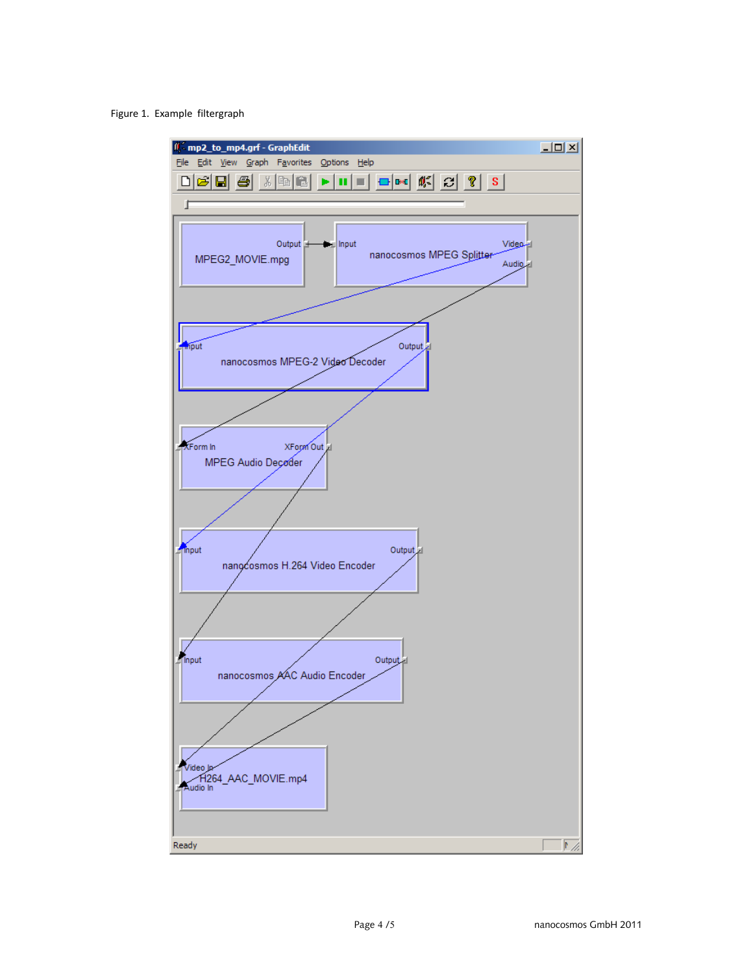#### Figure 1. Example filtergraph